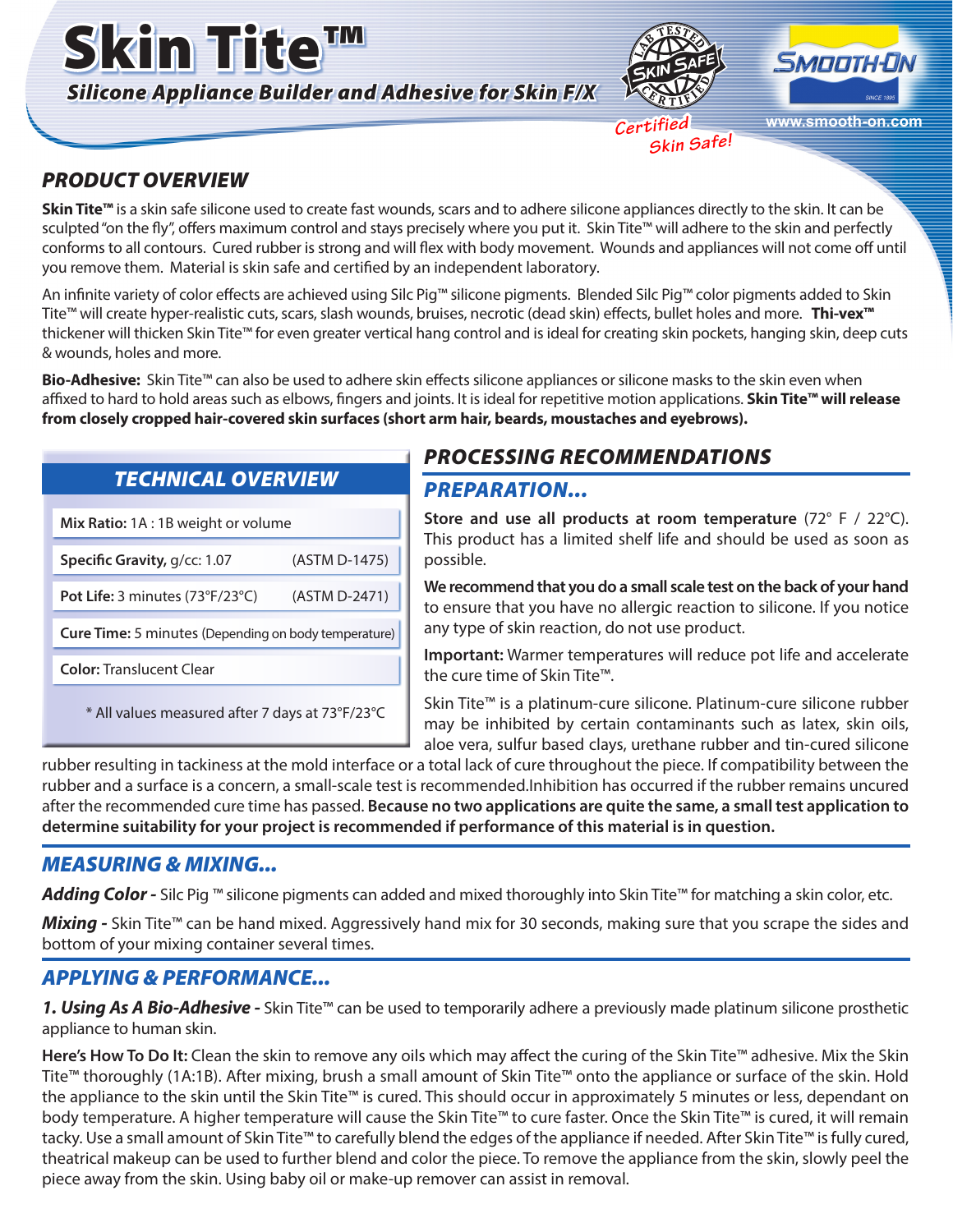





**www.smooth-on.com**

 *Certified Skin Safe!*

# *PRODUCT OVERVIEW*

**Skin Tite™** is a skin safe silicone used to create fast wounds, scars and to adhere silicone appliances directly to the skin. It can be sculpted "on the fly", offers maximum control and stays precisely where you put it. Skin Tite™ will adhere to the skin and perfectly conforms to all contours. Cured rubber is strong and will flex with body movement. Wounds and appliances will not come off until you remove them. Material is skin safe and certified by an independent laboratory.

An infinite variety of color effects are achieved using Silc Pig™ silicone pigments. Blended Silc Pig™ color pigments added to Skin Tite™ will create hyper-realistic cuts, scars, slash wounds, bruises, necrotic (dead skin) effects, bullet holes and more. **Thi-vex™** thickener will thicken Skin Tite™ for even greater vertical hang control and is ideal for creating skin pockets, hanging skin, deep cuts & wounds, holes and more.

**Bio-Adhesive:** Skin Tite™ can also be used to adhere skin effects silicone appliances or silicone masks to the skin even when affixed to hard to hold areas such as elbows, fingers and joints. It is ideal for repetitive motion applications. **Skin Tite™ will release from closely cropped hair-covered skin surfaces (short arm hair, beards, moustaches and eyebrows).** 

# *TECHNICAL OVERVIEW*

**Mix Ratio:** 1A : 1B weight or volume

**Specific Gravity,** g/cc: 1.07 (ASTM D-1475) **Pot Life:** 3 minutes (73°F/23°C) (ASTM D-2471)

**Cure Time:** 5 minutes (Depending on body temperature)

**Color:** Translucent Clear

\* All values measured after 7 days at 73°F/23°C

# *PROCESSING RECOMMENDATIONS*

#### *PREPARATION...*

**Store and use all products at room temperature** (72° F / 22°C). This product has a limited shelf life and should be used as soon as possible.

**We recommend that you do a small scale test on the back of your hand** to ensure that you have no allergic reaction to silicone. If you notice any type of skin reaction, do not use product.

**Important:** Warmer temperatures will reduce pot life and accelerate the cure time of Skin Tite™.

Skin Tite™ is a platinum-cure silicone. Platinum-cure silicone rubber may be inhibited by certain contaminants such as latex, skin oils, aloe vera, sulfur based clays, urethane rubber and tin-cured silicone

rubber resulting in tackiness at the mold interface or a total lack of cure throughout the piece. If compatibility between the rubber and a surface is a concern, a small-scale test is recommended.Inhibition has occurred if the rubber remains uncured after the recommended cure time has passed. **Because no two applications are quite the same, a small test application to determine suitability for your project is recommended if performance of this material is in question.**

### *MEASURING & MIXING...*

*Adding Color -* Silc Pig ™ silicone pigments can added and mixed thoroughly into Skin Tite™ for matching a skin color, etc.

*Mixing* - Skin Tite<sup>™</sup> can be hand mixed. Aggressively hand mix for 30 seconds, making sure that you scrape the sides and bottom of your mixing container several times.

# *APPLYING & PERFORMANCE...*

*1. Using As A Bio-Adhesive -* Skin Tite™ can be used to temporarily adhere a previously made platinum silicone prosthetic appliance to human skin.

**Here's How To Do It:** Clean the skin to remove any oils which may affect the curing of the Skin Tite™ adhesive. Mix the Skin Tite™ thoroughly (1A:1B). After mixing, brush a small amount of Skin Tite™ onto the appliance or surface of the skin. Hold the appliance to the skin until the Skin Tite™ is cured. This should occur in approximately 5 minutes or less, dependant on body temperature. A higher temperature will cause the Skin Tite™ to cure faster. Once the Skin Tite™ is cured, it will remain tacky. Use a small amount of Skin Tite™ to carefully blend the edges of the appliance if needed. After Skin Tite™ is fully cured, theatrical makeup can be used to further blend and color the piece. To remove the appliance from the skin, slowly peel the piece away from the skin. Using baby oil or make-up remover can assist in removal.